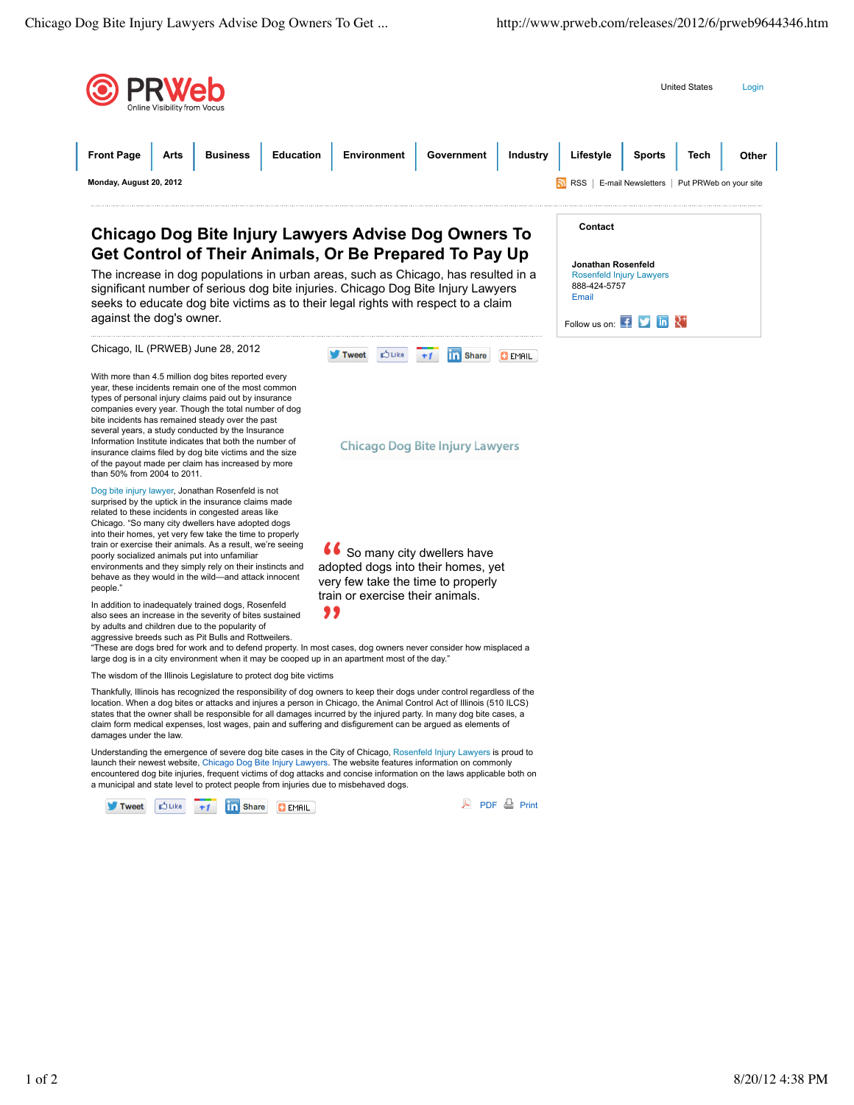